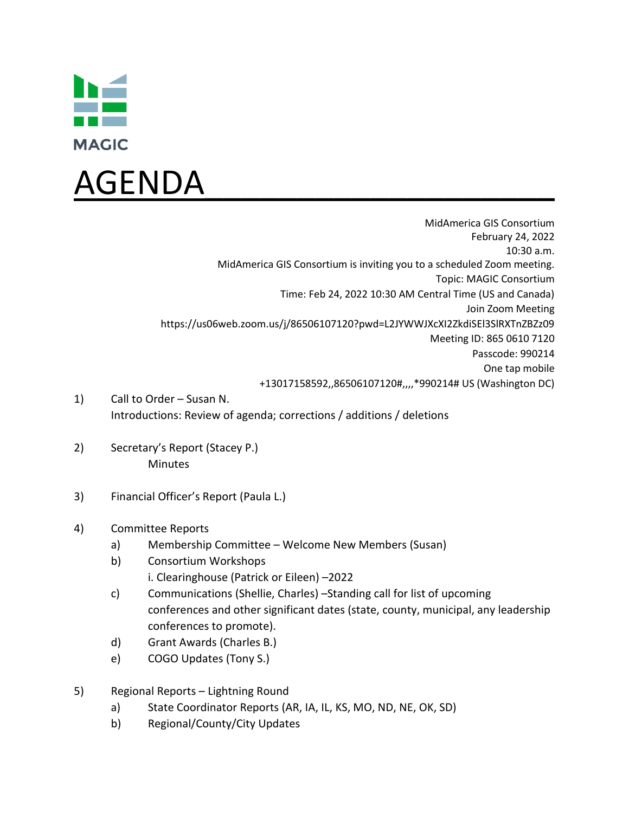



MidAmerica GIS Consortium February 24, 2022 10:30 a.m. MidAmerica GIS Consortium is inviting you to a scheduled Zoom meeting. Topic: MAGIC Consortium Time: Feb 24, 2022 10:30 AM Central Time (US and Canada) Join Zoom Meeting https://us06web.zoom.us/j/86506107120?pwd=L2JYWWJXcXI2ZkdiSEl3SlRXTnZBZz09 Meeting ID: 865 0610 7120 Passcode: 990214 One tap mobile +13017158592,,86506107120#,,,,\*990214# US (Washington DC)

- 1) Call to Order Susan N. Introductions: Review of agenda; corrections / additions / deletions
- 2) Secretary's Report (Stacey P.) Minutes
- 3) Financial Officer's Report (Paula L.)

## 4) Committee Reports

- a) Membership Committee Welcome New Members (Susan)
- b) Consortium Workshops i. Clearinghouse (Patrick or Eileen) –2022
- c) Communications (Shellie, Charles) –Standing call for list of upcoming conferences and other significant dates (state, county, municipal, any leadership conferences to promote).
- d) Grant Awards (Charles B.)
- e) COGO Updates (Tony S.)
- 5) Regional Reports Lightning Round
	- a) State Coordinator Reports (AR, IA, IL, KS, MO, ND, NE, OK, SD)
	- b) Regional/County/City Updates